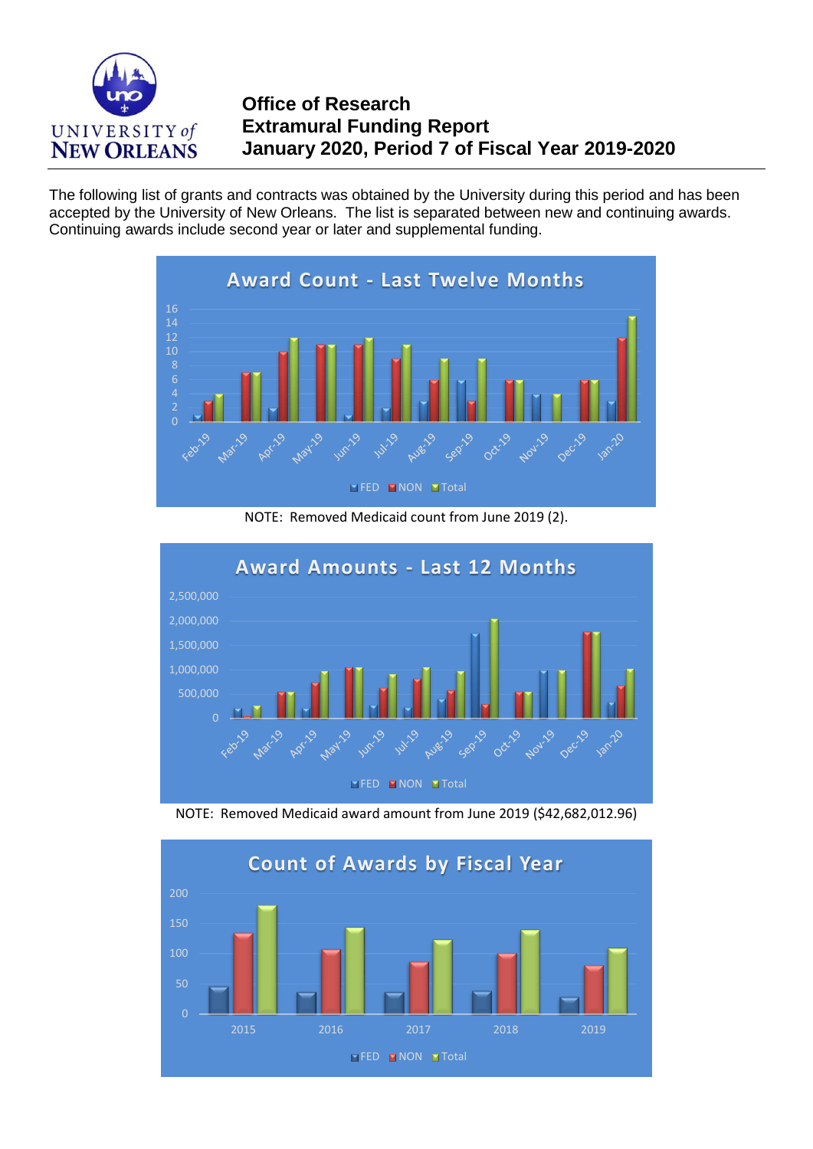

## **Office of Research Extramural Funding Report January 2020, Period 7 of Fiscal Year 2019-2020**

The following list of grants and contracts was obtained by the University during this period and has been accepted by the University of New Orleans. The list is separated between new and continuing awards. Continuing awards include second year or later and supplemental funding.



NOTE: Removed Medicaid count from June 2019 (2).



NOTE: Removed Medicaid award amount from June 2019 (\$42,682,012.96)

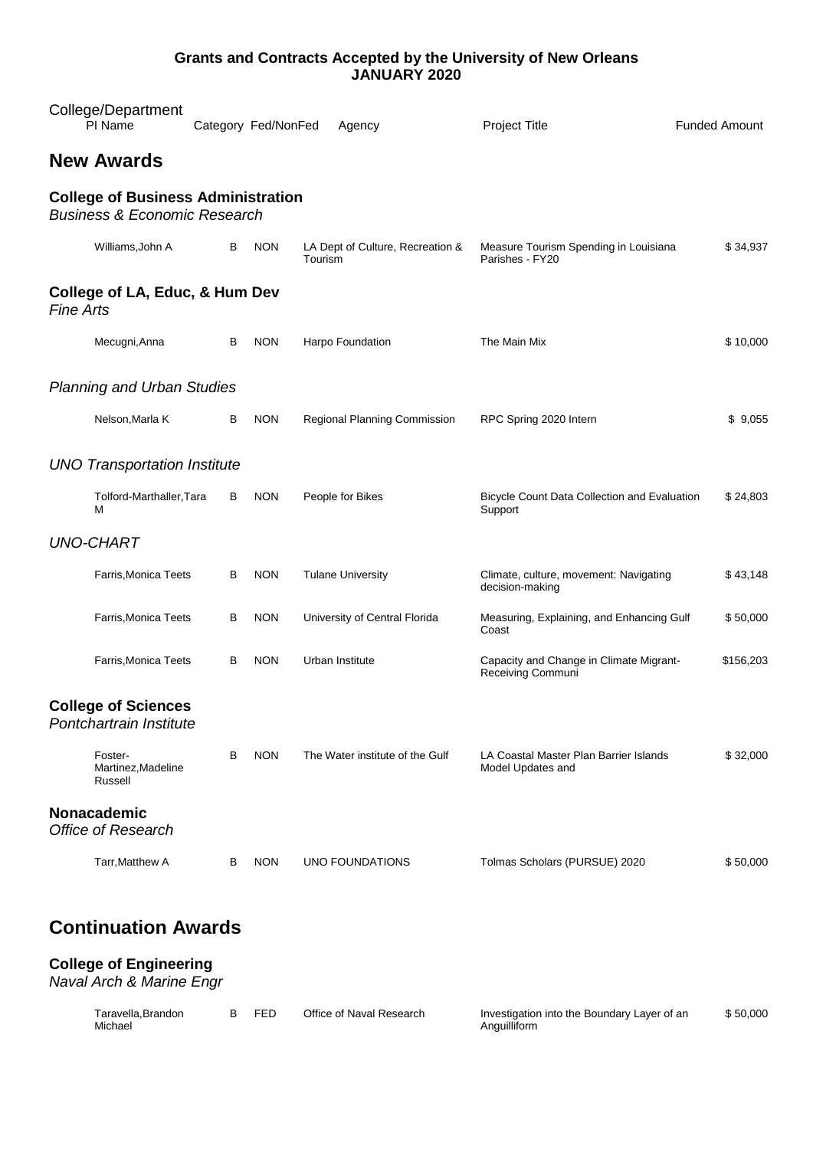#### **Grants and Contracts Accepted by the University of New Orleans JANUARY 2020**

| College/Department<br>PI Name                                                        |   | Category Fed/NonFed | Agency                                      | <b>Project Title</b>                                         | <b>Funded Amount</b> |
|--------------------------------------------------------------------------------------|---|---------------------|---------------------------------------------|--------------------------------------------------------------|----------------------|
| <b>New Awards</b>                                                                    |   |                     |                                             |                                                              |                      |
| <b>College of Business Administration</b><br><b>Business &amp; Economic Research</b> |   |                     |                                             |                                                              |                      |
| Williams, John A                                                                     | В | <b>NON</b>          | LA Dept of Culture, Recreation &<br>Tourism | Measure Tourism Spending in Louisiana<br>Parishes - FY20     | \$34,937             |
| College of LA, Educ, & Hum Dev<br><b>Fine Arts</b>                                   |   |                     |                                             |                                                              |                      |
| Mecugni, Anna                                                                        | В | <b>NON</b>          | Harpo Foundation                            | The Main Mix                                                 | \$10,000             |
| <b>Planning and Urban Studies</b>                                                    |   |                     |                                             |                                                              |                      |
| Nelson, Marla K                                                                      | В | <b>NON</b>          | Regional Planning Commission                | RPC Spring 2020 Intern                                       | \$9,055              |
| <b>UNO Transportation Institute</b>                                                  |   |                     |                                             |                                                              |                      |
| Tolford-Marthaller, Tara<br>м                                                        | в | <b>NON</b>          | People for Bikes                            | Bicycle Count Data Collection and Evaluation<br>Support      | \$24,803             |
| <b>UNO-CHART</b>                                                                     |   |                     |                                             |                                                              |                      |
| Farris, Monica Teets                                                                 | В | <b>NON</b>          | <b>Tulane University</b>                    | Climate, culture, movement: Navigating<br>decision-making    | \$43,148             |
| Farris, Monica Teets                                                                 | В | <b>NON</b>          | University of Central Florida               | Measuring, Explaining, and Enhancing Gulf<br>Coast           | \$50,000             |
| Farris, Monica Teets                                                                 | в | <b>NON</b>          | Urban Institute                             | Capacity and Change in Climate Migrant-<br>Receiving Communi | \$156,203            |
| <b>College of Sciences</b><br>Pontchartrain Institute                                |   |                     |                                             |                                                              |                      |
| Foster-<br>Martinez, Madeline<br>Russell                                             | В | <b>NON</b>          | The Water institute of the Gulf             | LA Coastal Master Plan Barrier Islands<br>Model Updates and  | \$32,000             |
| Nonacademic<br><b>Office of Research</b>                                             |   |                     |                                             |                                                              |                      |
| Tarr, Matthew A                                                                      | В | <b>NON</b>          | UNO FOUNDATIONS                             | Tolmas Scholars (PURSUE) 2020                                | \$50,000             |
|                                                                                      |   |                     |                                             |                                                              |                      |

# **Continuation Awards**

#### **College of Engineering**

*Naval Arch & Marine Engr*

| Taravella.Brandon | <b>FED</b> | Office of Naval Research | Investigation into the Boundary Layer of an | \$50,000 |
|-------------------|------------|--------------------------|---------------------------------------------|----------|
| Michael           |            |                          | Anguilliform                                |          |